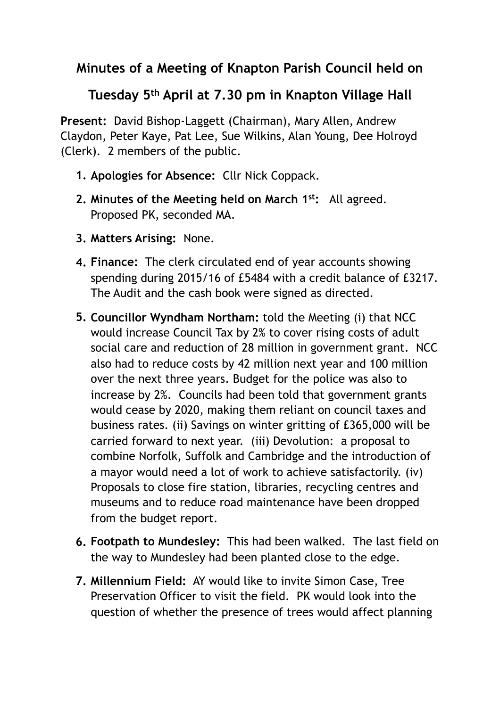## **Minutes of a Meeting of Knapton Parish Council held on**

## **Tuesday 5th April at 7.30 pm in Knapton Village Hall**

**Present:** David Bishop-Laggett (Chairman), Mary Allen, Andrew Claydon, Peter Kaye, Pat Lee, Sue Wilkins, Alan Young, Dee Holroyd (Clerk). 2 members of the public.

- **1. Apologies for Absence:** Cllr Nick Coppack.
- **2. Minutes of the Meeting held on March 1st:** All agreed. Proposed PK, seconded MA.
- **3. Matters Arising:** None.
- **4. Finance:** The clerk circulated end of year accounts showing spending during 2015/16 of £5484 with a credit balance of £3217. The Audit and the cash book were signed as directed.
- **5. Councillor Wyndham Northam:** told the Meeting (i) that NCC would increase Council Tax by 2% to cover rising costs of adult social care and reduction of 28 million in government grant. NCC also had to reduce costs by 42 million next year and 100 million over the next three years. Budget for the police was also to increase by 2%. Councils had been told that government grants would cease by 2020, making them reliant on council taxes and business rates. (ii) Savings on winter gritting of £365,000 will be carried forward to next year. (iii) Devolution: a proposal to combine Norfolk, Suffolk and Cambridge and the introduction of a mayor would need a lot of work to achieve satisfactorily. (iv) Proposals to close fire station, libraries, recycling centres and museums and to reduce road maintenance have been dropped from the budget report.
- **6. Footpath to Mundesley:** This had been walked. The last field on the way to Mundesley had been planted close to the edge.
- **7. Millennium Field:** AY would like to invite Simon Case, Tree Preservation Officer to visit the field. PK would look into the question of whether the presence of trees would affect planning